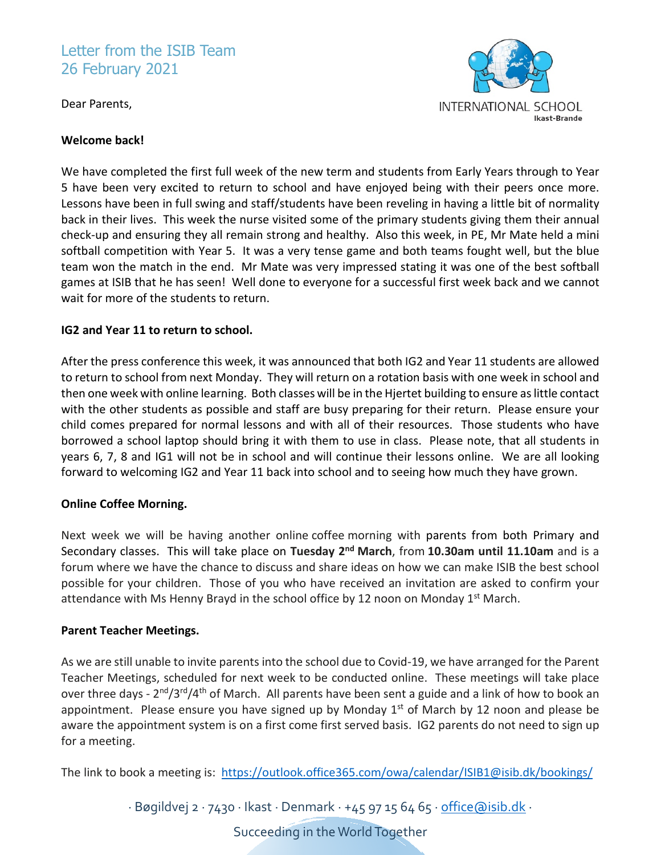# Letter from the ISIB Team 26 February 2021

Dear Parents,



#### **Welcome back!**

We have completed the first full week of the new term and students from Early Years through to Year 5 have been very excited to return to school and have enjoyed being with their peers once more. Lessons have been in full swing and staff/students have been reveling in having a little bit of normality back in their lives. This week the nurse visited some of the primary students giving them their annual check-up and ensuring they all remain strong and healthy. Also this week, in PE, Mr Mate held a mini softball competition with Year 5. It was a very tense game and both teams fought well, but the blue team won the match in the end. Mr Mate was very impressed stating it was one of the best softball games at ISIB that he has seen! Well done to everyone for a successful first week back and we cannot wait for more of the students to return.

# **IG2 and Year 11 to return to school.**

After the press conference this week, it was announced that both IG2 and Year 11 students are allowed to return to school from next Monday. They will return on a rotation basis with one week in school and then one week with online learning. Both classes will be in the Hjertet building to ensure aslittle contact with the other students as possible and staff are busy preparing for their return. Please ensure your child comes prepared for normal lessons and with all of their resources. Those students who have borrowed a school laptop should bring it with them to use in class. Please note, that all students in years 6, 7, 8 and IG1 will not be in school and will continue their lessons online. We are all looking forward to welcoming IG2 and Year 11 back into school and to seeing how much they have grown.

#### **Online Coffee Morning.**

Next week we will be having another online coffee morning with parents from both Primary and Secondary classes. This will take place on **Tuesday 2nd March**, from **10.30am until 11.10am** and is a forum where we have the chance to discuss and share ideas on how we can make ISIB the best school possible for your children. Those of you who have received an invitation are asked to confirm your attendance with Ms Henny Brayd in the school office by 12 noon on Monday 1<sup>st</sup> March.

#### **Parent Teacher Meetings.**

As we are still unable to invite parents into the school due to Covid-19, we have arranged for the Parent Teacher Meetings, scheduled for next week to be conducted online. These meetings will take place over three days -  $2^{nd}/3^{rd}/4^{th}$  of March. All parents have been sent a guide and a link of how to book an appointment. Please ensure you have signed up by Monday  $1<sup>st</sup>$  of March by 12 noon and please be aware the appointment system is on a first come first served basis. IG2 parents do not need to sign up for a meeting.

The link to book a meeting is: <https://outlook.office365.com/owa/calendar/ISIB1@isib.dk/bookings/>

· Bøgildvej 2 · 7430 · Ikast · Denmark · +45 97 15 64 65 [· office@isib.dk](mailto:office@isib.dk) ·

Succeeding in the World Together